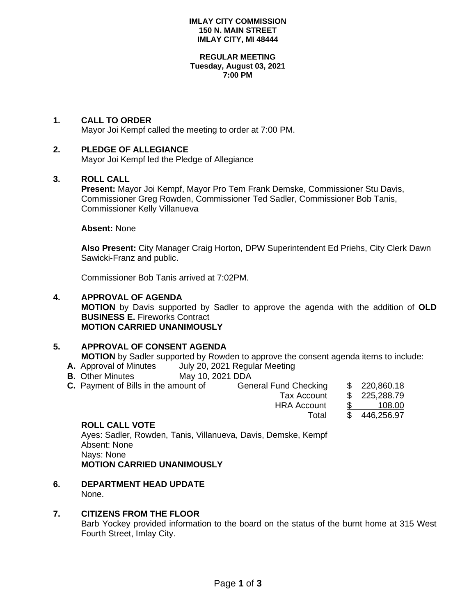#### **IMLAY CITY COMMISSION 150 N. MAIN STREET IMLAY CITY, MI 48444**

#### **REGULAR MEETING Tuesday, August 03, 2021 7:00 PM**

# **1. CALL TO ORDER**

Mayor Joi Kempf called the meeting to order at 7:00 PM.

## **2. PLEDGE OF ALLEGIANCE**

Mayor Joi Kempf led the Pledge of Allegiance

## **3. ROLL CALL**

**Present:** Mayor Joi Kempf, Mayor Pro Tem Frank Demske, Commissioner Stu Davis, Commissioner Greg Rowden, Commissioner Ted Sadler, Commissioner Bob Tanis, Commissioner Kelly Villanueva

### **Absent:** None

**Also Present:** City Manager Craig Horton, DPW Superintendent Ed Priehs, City Clerk Dawn Sawicki-Franz and public.

Commissioner Bob Tanis arrived at 7:02PM.

### **4. APPROVAL OF AGENDA**

**MOTION** by Davis supported by Sadler to approve the agenda with the addition of **OLD BUSINESS E.** Fireworks Contract **MOTION CARRIED UNANIMOUSLY**

## **5. APPROVAL OF CONSENT AGENDA**

**MOTION** by Sadler supported by Rowden to approve the consent agenda items to include:

- **A.** Approval of Minutes July 20, 2021 Regular Meeting
- **B.** Other Minutes May 10, 2021 DDA

| <b>C.</b> Payment of Bills in the amount of | General Fund Checking | \$220,860.18 |
|---------------------------------------------|-----------------------|--------------|
|                                             | Tax Account           | \$225,288.79 |
|                                             | <b>HRA Account</b>    | 108.00       |
|                                             | Total                 | \$446,256.97 |

## **ROLL CALL VOTE**

Ayes: Sadler, Rowden, Tanis, Villanueva, Davis, Demske, Kempf Absent: None Nays: None **MOTION CARRIED UNANIMOUSLY**

**6. DEPARTMENT HEAD UPDATE** None.

### **7. CITIZENS FROM THE FLOOR**

Barb Yockey provided information to the board on the status of the burnt home at 315 West Fourth Street, Imlay City.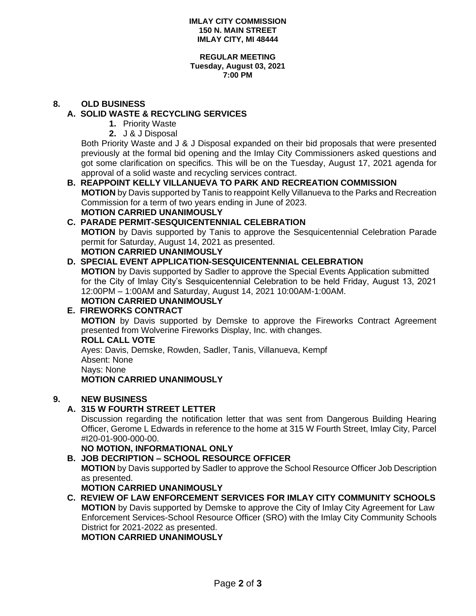#### **REGULAR MEETING Tuesday, August 03, 2021 7:00 PM**

# **8. OLD BUSINESS**

# **A. SOLID WASTE & RECYCLING SERVICES**

- **1.** Priority Waste
- **2.** J & J Disposal

Both Priority Waste and J & J Disposal expanded on their bid proposals that were presented previously at the formal bid opening and the Imlay City Commissioners asked questions and got some clarification on specifics. This will be on the Tuesday, August 17, 2021 agenda for approval of a solid waste and recycling services contract.

## **B. REAPPOINT KELLY VILLANUEVA TO PARK AND RECREATION COMMISSION**

 **MOTION** by Davis supported by Tanis to reappoint Kelly Villanueva to the Parks and Recreation Commission for a term of two years ending in June of 2023. **MOTION CARRIED UNANIMOUSLY**

# **C. PARADE PERMIT-SESQUICENTENNIAL CELEBRATION**

**MOTION** by Davis supported by Tanis to approve the Sesquicentennial Celebration Parade permit for Saturday, August 14, 2021 as presented.

# **MOTION CARRIED UNANIMOUSLY**

# **D. SPECIAL EVENT APPLICATION-SESQUICENTENNIAL CELEBRATION**

**MOTION** by Davis supported by Sadler to approve the Special Events Application submitted for the City of Imlay City's Sesquicentennial Celebration to be held Friday, August 13, 2021 12:00PM – 1:00AM and Saturday, August 14, 2021 10:00AM-1:00AM.

# **MOTION CARRIED UNANIMOUSLY**

# **E. FIREWORKS CONTRACT**

**MOTION** by Davis supported by Demske to approve the Fireworks Contract Agreement presented from Wolverine Fireworks Display, Inc. with changes.

### **ROLL CALL VOTE**

Ayes: Davis, Demske, Rowden, Sadler, Tanis, Villanueva, Kempf

Absent: None

Nays: None

**MOTION CARRIED UNANIMOUSLY**

# **9. NEW BUSINESS**

# **A. 315 W FOURTH STREET LETTER**

Discussion regarding the notification letter that was sent from Dangerous Building Hearing Officer, Gerome L Edwards in reference to the home at 315 W Fourth Street, Imlay City, Parcel #I20-01-900-000-00.

**NO MOTION, INFORMATIONAL ONLY**

# **B. JOB DECRIPTION – SCHOOL RESOURCE OFFICER**

**MOTION** by Davis supported by Sadler to approve the School Resource Officer Job Description as presented.

**MOTION CARRIED UNANIMOUSLY**

**C. REVIEW OF LAW ENFORCEMENT SERVICES FOR IMLAY CITY COMMUNITY SCHOOLS MOTION** by Davis supported by Demske to approve the City of Imlay City Agreement for Law Enforcement Services-School Resource Officer (SRO) with the Imlay City Community Schools District for 2021-2022 as presented.

**MOTION CARRIED UNANIMOUSLY**